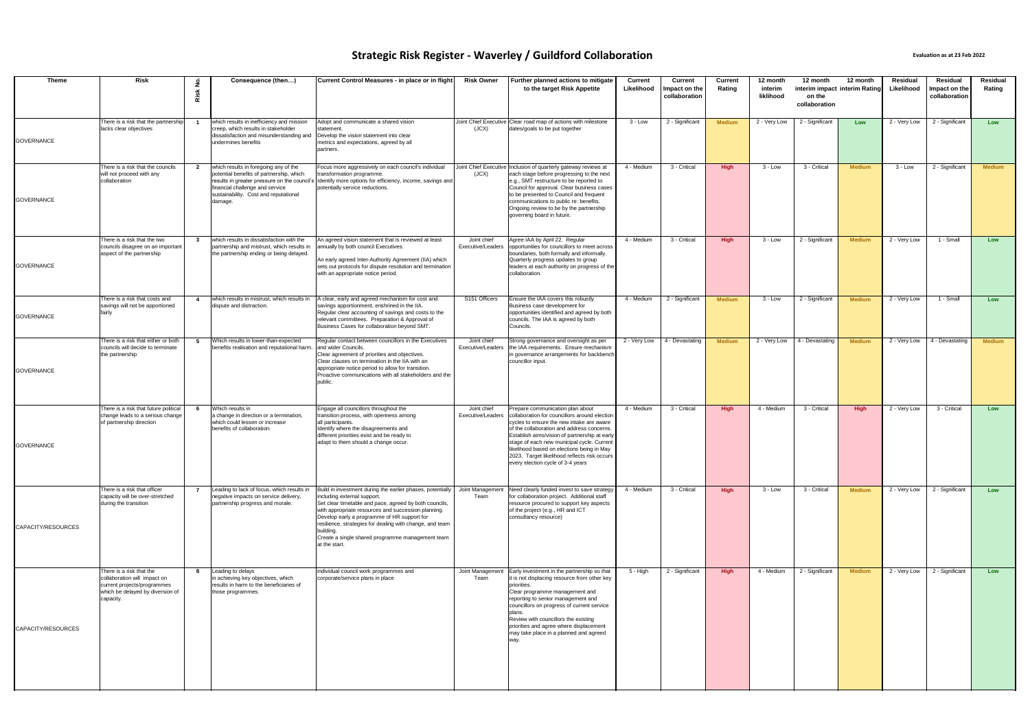| Theme              | Risk                                                                                                                                     | $\alpha$ | Consequence (then)                                                                                                                                                                                                         | Current Control Measures - in place or in flight                                                                                                                                                                                                                                                                                                                                                        | <b>Risk Owner</b>                | Further planned actions to mitigate<br>to the target Risk Appetite                                                                                                                                                                                                                                                                                                                                                               | <b>Current</b><br>Likelihood | Current<br>Impact on the<br>collaboration | <b>Current</b><br>Rating | 12 month<br>interim<br>liklihood | 12 month<br>on the<br>collaboration | 12 month<br>interim impact interim Rating | Residual<br>Likelihood | Residual<br>Impact on the<br>collaboration | Residual<br>Rating |
|--------------------|------------------------------------------------------------------------------------------------------------------------------------------|----------|----------------------------------------------------------------------------------------------------------------------------------------------------------------------------------------------------------------------------|---------------------------------------------------------------------------------------------------------------------------------------------------------------------------------------------------------------------------------------------------------------------------------------------------------------------------------------------------------------------------------------------------------|----------------------------------|----------------------------------------------------------------------------------------------------------------------------------------------------------------------------------------------------------------------------------------------------------------------------------------------------------------------------------------------------------------------------------------------------------------------------------|------------------------------|-------------------------------------------|--------------------------|----------------------------------|-------------------------------------|-------------------------------------------|------------------------|--------------------------------------------|--------------------|
| <b>GOVERNANCE</b>  | There is a risk that the partnership<br>lacks clear objectives                                                                           | - 1      | which results in inefficiency and mission<br>creep, which results in stakeholder<br>dissatisfaction and misunderstanding and<br>undermines benefits                                                                        | Adopt and communicate a shared vision<br>statement.<br>Develop the vision statement into clear<br>metrics and expectations, agreed by all<br>partners.                                                                                                                                                                                                                                                  | (JCX)                            | Joint Chief Executive Clear road map of actions with milestone<br>dates/goals to be put together                                                                                                                                                                                                                                                                                                                                 | $3 - Low$                    | 2 - Significant                           | <b>Medium</b>            | 2 - Very Low                     | 2 - Significant                     | Low                                       | 2 - Very Low           | 2 - Significant                            | Low                |
| <b>GOVERNANCE</b>  | There is a risk that the councils<br>will not proceed with any<br>collaboration                                                          |          | 2 which results in foregoing any of the<br>potential benefits of partnership, which<br>results in greater pressure on the council's<br>financial challenge and service<br>sustainability. Cost and reputational<br>damage. | Focus more aggressively on each council's individual<br>transformation programme.<br>Identify more options for efficiency, income, savings and<br>potentially service reductions.                                                                                                                                                                                                                       | (JCX)                            | Joint Chief Executive Inclusion of quarterly gateway reviews at<br>each stage before progressing to the next<br>e.g., SMT restructure to be reported to<br>Council for approval. Clear business cases<br>to be presented to Council and frequent<br>communications to public re: benefits.<br>Ongoing review to be by the partnership<br>governing board in future.                                                              | 4 - Medium                   | 3 - Critical                              | <b>High</b>              | 3 - Low                          | 3 - Critical                        | <b>Medium</b>                             | 3 - Low                | 2 - Significant                            | <b>Medium</b>      |
| <b>GOVERNANCE</b>  | There is a risk that the two<br>councils disagree on an important<br>aspect of the partnership                                           | 3        | which results in dissatisfaction with the<br>partnership and mistrust, which results in<br>the partnership ending or being delayed.                                                                                        | An agreed vision statement that is reviewed at least<br>annually by both council Executives.<br>An early agreed Inter-Authority Agreement (IIA) which<br>sets out protocols for dispute resolution and termination<br>with an appropriate notice period.                                                                                                                                                | Joint chief<br>Executive/Leaders | Agree IAA by April 22. Regular<br>opportunities for councillors to meet across<br>boundaries, both formally and informally.<br>Quarterly progress updates to group<br>leaders at each authority on progress of the<br>collaboration.                                                                                                                                                                                             | 4 - Medium                   | 3 - Critical                              | <b>High</b>              | 3 - Low                          | 2 - Significant                     | <b>Medium</b>                             | 2 - Very Low           | 1 - Small                                  | Low                |
| <b>GOVERNANCE</b>  | There is a risk that costs and<br>savings will not be apportioned<br>fairly                                                              | -4       | which results in mistrust, which results in<br>dispute and distraction.                                                                                                                                                    | A clear, early and agreed mechanism for cost and<br>savings apportionment, enshrined in the IIA.<br>Regular clear accounting of savings and costs to the<br>relevant committees. Preparation & Approval of<br>Business Cases for collaboration beyond SMT.                                                                                                                                              | S151 Officers                    | Ensure the IAA covers this robustly.<br>Business case development for<br>opportunities identified and agreed by both<br>councils. The IAA is agreed by both<br>Councils.                                                                                                                                                                                                                                                         | 4 - Medium                   | 2 - Significant                           | <b>Medium</b>            | 3 - Low                          | 2 - Significant                     | <b>Medium</b>                             | 2 - Very Low           | 1 - Small                                  | Low                |
| <b>GOVERNANCE</b>  | There is a risk that either or both<br>councils will decide to terminate<br>the partnership                                              | 5        | Which results in lower-than-expected<br>benefits realisation and reputational harm                                                                                                                                         | Regular contact between councillors in the Executives<br>and wider Councils.<br>Clear agreement of priorities and objectives.<br>Clear clauses on termination in the IIA with an<br>appropriate notice period to allow for transition.<br>Proactive communications with all stakeholders and the<br>public.                                                                                             | Joint chief<br>Executive/Leaders | Strong governance and oversight as per<br>the IAA requirements. Ensure mechanism<br>in governance arrangements for backbench<br>councillor input.                                                                                                                                                                                                                                                                                | 2 - Very Low                 | 4 - Devastating                           | <b>Medium</b>            | 2 - Very Low                     | 4 - Devastating                     | <b>Medium</b>                             | 2 - Very Low           | 4 - Devastating                            | <b>Medium</b>      |
| <b>GOVERNANCE</b>  | There is a risk that future political<br>change leads to a serious change<br>of partnership direction                                    | - 6      | Which results in<br>a change in direction or a termination,<br>which could lessen or increase<br>benefits of collaboration.                                                                                                | Engage all councillors throughout the<br>transition process, with openness among<br>all participants.<br>Identify where the disagreements and<br>different priorities exist and be ready to<br>adapt to them should a change occur.                                                                                                                                                                     | Joint chief                      | Prepare communication plan about<br>Executive/Leaders collaboration for councillors around election<br>cycles to ensure the new intake are aware<br>of the collaboration and address concerns.<br>Establish aims/vision of partnership at early<br>stage of each new municipal cycle. Current<br>likelihood based on elections being in May<br>2023. Target likelihood reflects risk occurs<br>every election cycle of 3-4 years | 4 - Medium                   | 3 - Critical                              | <b>High</b>              | 4 - Medium                       | 3 - Critical                        | <b>High</b>                               | 2 - Very Low           | 3 - Critical                               | Low                |
| CAPACITY/RESOURCES | There is a risk that officer<br>capacity will be over-stretched<br>during the transition                                                 |          | Leading to lack of focus, which results in<br>negative impacts on service delivery,<br>partnership progress and morale.                                                                                                    | Build in investment during the earlier phases, potentially<br>including external support.<br>Set clear timetable and pace, agreed by both councils,<br>with appropriate resources and succession planning.<br>Develop early a programme of HR support for<br>resilience, strategies for dealing with change, and team<br>building.<br>Create a single shared programme management team<br>at the start. | Team                             | Joint Management Need clearly funded invest to save strategy<br>for collaboration project. Additional staff<br>resource procured to support key aspects<br>of the project (e.g., HR and ICT<br>consultancy resource)                                                                                                                                                                                                             | 4 - Medium                   | 3 - Critical                              | High                     | $3 - Low$                        | 3 - Critical                        | <b>Medium</b>                             | 2 - Very Low           | 2 - Significant                            | Low                |
| CAPACITY/RESOURCES | There is a risk that the<br>collaboration will impact on<br>current projects/programmes<br>which be delayed by diversion of<br>capacity. | 8        | Leading to delays<br>in achieving key objectives, which<br>results in harm to the beneficiaries of<br>those programmes.                                                                                                    | individual council work programmes and<br>corporate/service plans in place                                                                                                                                                                                                                                                                                                                              | Team                             | Joint Management Early investment in the partnership so that<br>it is not displacing resource from other key<br>priorities.<br>Clear programme management and<br>reporting to senior management and<br>councillors on progress of current service<br>Review with councillors the existing<br>priorities and agree where displacement<br>may take place in a planned and agreed                                                   | 5 - High                     | 2 - Significant                           | High                     | 4 - Medium                       | 2 - Significant                     | <b>Medium</b>                             | 2 - Very Low           | 2 - Significant                            | Low                |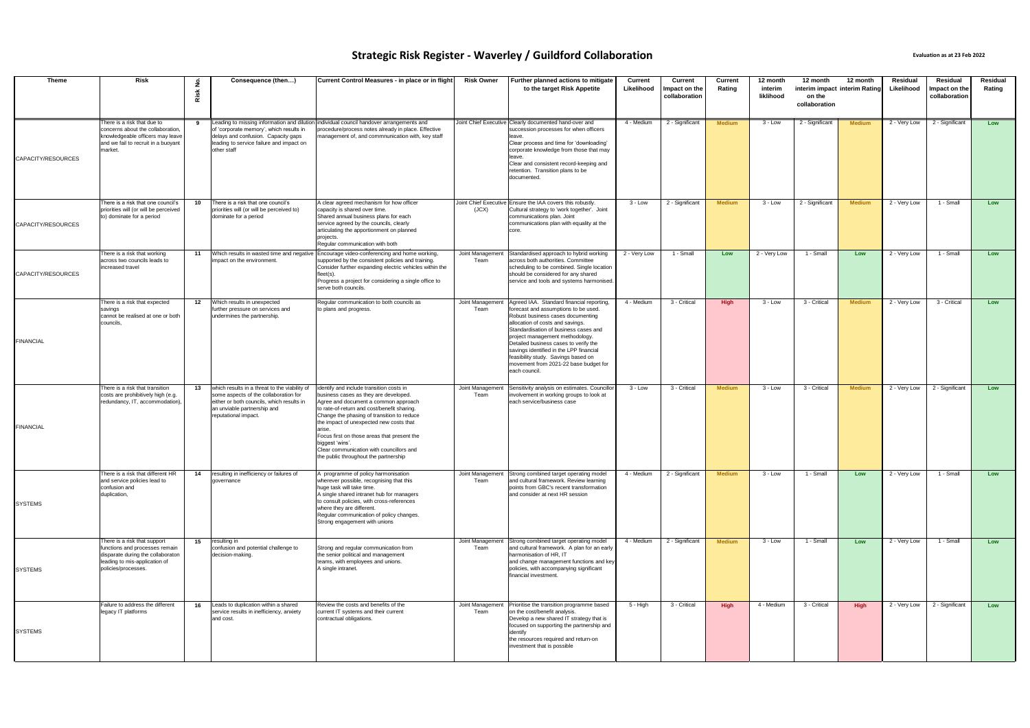| <b>Theme</b>       | <b>Risk</b>                                                                                                                                                 | Risk | Consequence (then)                                                                                                                                                                         | Current Control Measures - in place or in flight                                                                                                                                                                                                                                                                                                                                                                                   | <b>Risk Owner</b>        | Further planned actions to mitigate<br>to the target Risk Appetite                                                                                                                                                                                                                                                                                                                                                         | <b>Current</b><br>Likelihood | <b>Current</b><br>Impact on the<br>collaboration | <b>Current</b><br>Rating | 12 month<br>interim<br>liklihood | 12 month<br>interim impact interim Rating<br>on the<br>collaboration | 12 month      | Residual<br>Likelihood    | Residual<br>Impact on the<br>collaboration | Residual<br>Rating |
|--------------------|-------------------------------------------------------------------------------------------------------------------------------------------------------------|------|--------------------------------------------------------------------------------------------------------------------------------------------------------------------------------------------|------------------------------------------------------------------------------------------------------------------------------------------------------------------------------------------------------------------------------------------------------------------------------------------------------------------------------------------------------------------------------------------------------------------------------------|--------------------------|----------------------------------------------------------------------------------------------------------------------------------------------------------------------------------------------------------------------------------------------------------------------------------------------------------------------------------------------------------------------------------------------------------------------------|------------------------------|--------------------------------------------------|--------------------------|----------------------------------|----------------------------------------------------------------------|---------------|---------------------------|--------------------------------------------|--------------------|
| CAPACITY/RESOURCES | There is a risk that due to<br>concerns about the collaboration,<br>knowledgeable officers may leave<br>and we fail to recruit in a buoyant<br>market.      | - 9  | of 'corporate memory', which results in<br>delays and confusion. Capacity gaps<br>leading to service failure and impact on<br>other staff                                                  | Leading to missing information and dilution individual council handover arrangements and<br>procedure/process notes already in place. Effective<br>management of, and commnunication with, key staff                                                                                                                                                                                                                               |                          | Joint Chief Executive Clearly documented hand-over and<br>succession processes for when officers<br>leave.<br>Clear process and time for 'downloading'<br>corporate knowledge from those that may<br>leave.<br>Clear and consistent record-keeping and<br>retention. Transition plans to be<br>documented.                                                                                                                 | 4 - Medium                   | 2 - Significant                                  | <b>Medium</b>            | 3 - Low                          | 2 - Significant                                                      | <b>Medium</b> | 2 - Very Low              | 2 - Significant                            | Low                |
| CAPACITY/RESOURCES | There is a risk that one council's<br>priorities will (or will be perceived<br>to) dominate for a period                                                    | 10   | There is a risk that one council's<br>priorities will (or will be perceived to)<br>dominate for a period                                                                                   | A clear agreed mechanism for how officer<br>capacity is shared over time.<br>Shared annual business plans for each<br>service agreed by the councils, clearly<br>articulating the apportionment on planned<br>projects.<br>Regular communication with both                                                                                                                                                                         | (JCX)                    | Joint Chief Executive Ensure the IAA covers this robustly.<br>Cultural strategy to 'work together'. Joint<br>communications plan. Joint<br>communications plan with equality at the<br>core.                                                                                                                                                                                                                               | 3 - Low                      | 2 - Significant                                  | <b>Medium</b>            | 3 - Low                          | 2 - Significant                                                      | <b>Medium</b> | 2 - Very Low              | 1 - Small                                  | <b>Low</b>         |
| CAPACITY/RESOURCES | There is a risk that working<br>across two councils leads to<br>increased travel                                                                            | 11   | Which results in wasted time and negative<br>impact on the environment.                                                                                                                    | Encourage video-conferencing and home working,<br>supported by the consistent policies and training.<br>Consider further expanding electric vehicles within the<br>fleet(s).<br>Progress a project for considering a single office to<br>serve both councils.                                                                                                                                                                      | Joint Management<br>Team | Standardised approach to hybrid working<br>across both authorities. Committee<br>scheduling to be combined. Single location<br>should be considered for any shared<br>service and tools and systems harmonised.                                                                                                                                                                                                            | 2 - Very Low                 | 1 - Small                                        | Low                      | 2 - Very Low                     | 1 - Small                                                            | Low           | 2 - Very Low              | 1 - Small                                  | Low                |
| <b>FINANCIAL</b>   | There is a risk that expected<br>savings<br>cannot be realised at one or both<br>councils,                                                                  | 12   | Which results in unexpected<br>further pressure on services and<br>undermines the partnership.                                                                                             | Regular communication to both councils as<br>to plans and progress.                                                                                                                                                                                                                                                                                                                                                                | Joint Management<br>Team | Agreed IAA. Standard financial reporting<br>forecast and assumptions to be used.<br>Robust business cases documenting<br>allocation of costs and savings.<br>Standardisation of business cases and<br>project management methodology.<br>Detailed business cases to verify the<br>savings identified in the LPP financial<br>feasibility study. Savings based on<br>movement from 2021-22 base budget for<br>each council. | 4 - Medium                   | 3 - Critical                                     | High                     | 3 - Low                          | 3 - Critical                                                         | Medium        | $\overline{2}$ - Very Low | 3 - Critical                               | Low                |
| <b>FINANCIAL</b>   | There is a risk that transition<br>costs are prohibitively high (e.g.<br>redundancy, IT, accommodation),                                                    | 13   | which results in a threat to the viability of<br>some aspects of the collaboration for<br>either or both councils, which results in<br>an unviable partnership and<br>reputational impact. | identify and include transition costs in<br>business cases as they are developed.<br>Agree and document a common approach<br>to rate-of-return and cost/benefit sharing.<br>Change the phasing of transition to reduce<br>the impact of unexpected new costs that<br>arise.<br>Focus first on those areas that present the<br>biggest 'wins'.<br>Clear communication with councillors and<br>the public throughout the partnership | Joint Management<br>Team | Sensitivity analysis on estimates. Councillor<br>involvement in working groups to look at<br>each service/business case                                                                                                                                                                                                                                                                                                    | 3 - Low                      | 3 - Critical                                     | <b>Medium</b>            | 3 - Low                          | 3 - Critical                                                         | <b>Medium</b> | 2 - Very Low              | 2 - Significant                            | Low                |
| <b>SYSTEMS</b>     | There is a risk that different HR<br>and service policies lead to<br>confusion and<br>duplication,                                                          | 14   | resulting in inefficiency or failures of<br>governance                                                                                                                                     | A programme of policy harmonisation<br>wherever possible, recognising that this<br>huge task will take time.<br>A single shared intranet hub for managers<br>to consult policies, with cross-references<br>where they are different.<br>Regular communication of policy changes.<br>Strong engagement with unions                                                                                                                  | Joint Management<br>Team | Strong combined target operating model<br>and cultural framework. Review learning<br>points from GBC's recent transformation<br>and consider at next HR session                                                                                                                                                                                                                                                            | 4 - Medium                   | 2 - Significant                                  | <b>Medium</b>            | $3 - Low$                        | 1 - Small                                                            | Low           | 2 - Very Low              | 1 - Small                                  | Low                |
| <b>SYSTEMS</b>     | There is a risk that support<br>functions and processes remain<br>disparate during the collaboraton<br>leading to mis-application of<br>policies/processes. | 15   | resulting in<br>confusion and potential challenge to<br>decision-making.                                                                                                                   | Strong and regular communication from<br>the senior political and management<br>teams, with employees and unions.<br>A single intranet.                                                                                                                                                                                                                                                                                            | Joint Management<br>Team | Strong combined target operating model<br>and cultural framework. A plan for an early<br>harmonisation of HR, IT<br>and change management functions and key<br>policies, with accompanying significant<br>financial investment.                                                                                                                                                                                            | 4 - Medium                   | 2 - Significant                                  | <b>Medium</b>            | 3 - Low                          | 1 - Small                                                            | Low           | 2 - Very Low              | 1 - Small                                  | Low                |
| <b>SYSTEMS</b>     | Failure to address the different<br>legacy IT platforms                                                                                                     | 16   | Leads to duplication within a shared<br>service results in inefficiency, anxiety<br>and cost.                                                                                              | Review the costs and benefits of the<br>current IT systems and their current<br>contractual obligations.                                                                                                                                                                                                                                                                                                                           | Joint Management<br>Team | Prioritise the transition programme based<br>on the cost/benefit analysis.<br>Develop a new shared IT strategy that is<br>focused on supporting the partnership and<br>identify<br>the resources required and return-on<br>investment that is possible                                                                                                                                                                     | 5 - High                     | 3 - Critical                                     | <b>High</b>              | 4 - Medium                       | 3 - Critical                                                         | High          | 2 - Very Low              | 2 - Significant                            | Low                |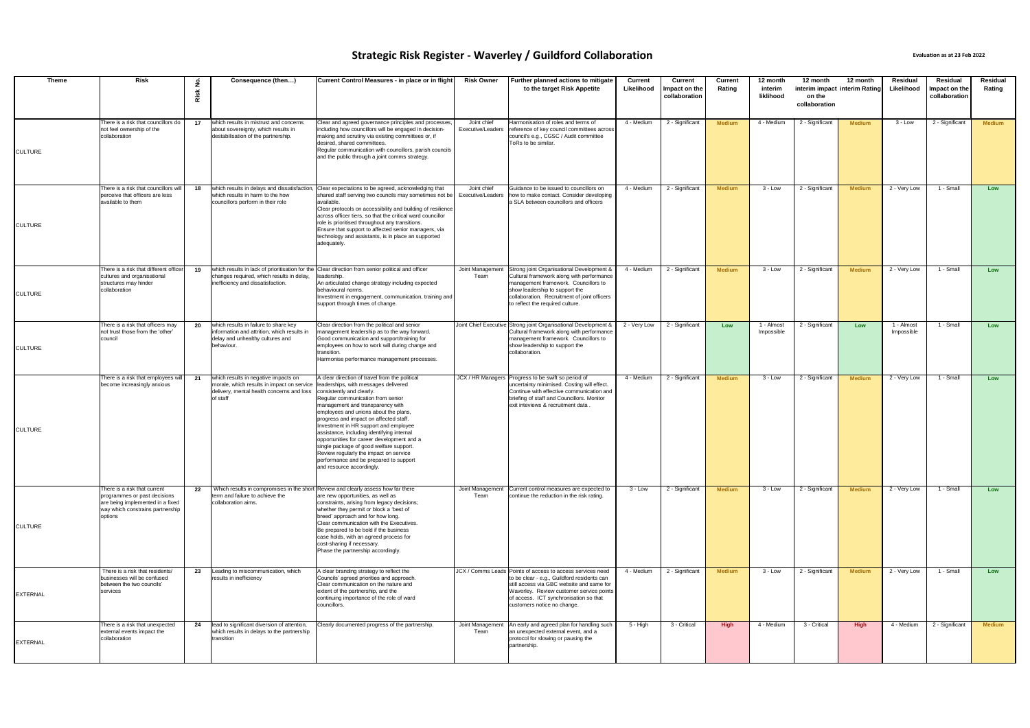| <b>Theme</b>    | <b>Risk</b>                                                                                                                                     | غ<br>Risk | Consequence (then)                                                                                                                          | Current Control Measures - in place or in flight                                                                                                                                                                                                                                                                                                                                                                                                                                                                                                                                 | <b>Risk Owner</b>                | Further planned actions to mitigate<br>to the target Risk Appetite                                                                                                                                                                                                          | <b>Current</b><br>Likelihood | <b>Current</b><br>Impact on the<br>collaboration | <b>Current</b><br>Rating | 12 month<br>interim<br>liklihood | 12 month<br>interim impact interim Rating<br>on the<br>collaboration | 12 month      | Residual<br>Likelihood   | Residual<br>Impact on the<br>collaboration | <b>Residual</b><br>Rating |
|-----------------|-------------------------------------------------------------------------------------------------------------------------------------------------|-----------|---------------------------------------------------------------------------------------------------------------------------------------------|----------------------------------------------------------------------------------------------------------------------------------------------------------------------------------------------------------------------------------------------------------------------------------------------------------------------------------------------------------------------------------------------------------------------------------------------------------------------------------------------------------------------------------------------------------------------------------|----------------------------------|-----------------------------------------------------------------------------------------------------------------------------------------------------------------------------------------------------------------------------------------------------------------------------|------------------------------|--------------------------------------------------|--------------------------|----------------------------------|----------------------------------------------------------------------|---------------|--------------------------|--------------------------------------------|---------------------------|
| <b>CULTURE</b>  | There is a risk that councillors do<br>not feel ownership of the<br>collaboration                                                               | 17        | which results in mistrust and concerns<br>about sovereignty, which results in<br>destabilisation of the partnership.                        | Clear and agreed governance principles and processes<br>including how councillors will be engaged in decision-<br>making and scrutiny via existing committees or, if<br>desired, shared committees.<br>Regular communication with councillors, parish councils<br>and the public through a joint comms strategy.                                                                                                                                                                                                                                                                 | Joint chief<br>Executive/Leaders | Harmonisation of roles and terms of<br>reference of key council committees across<br>council's e.g., CGSC / Audit committee<br>ToRs to be similar.                                                                                                                          | 4 - Medium                   | 2 - Significant                                  | <b>Medium</b>            | 4 - Medium                       | 2 - Significant                                                      | <b>Medium</b> | $3 - Low$                | 2 - Significant                            | <b>Medium</b>             |
| <b>CULTURE</b>  | There is a risk that councillors will<br>perceive that officers are less<br>available to them                                                   | 18        | which results in delays and dissatisfaction,<br>which results in harm to the how<br>councillors perform in their role                       | Clear expectations to be agreed, acknowledging that<br>shared staff serving two councils may sometimes not be<br>available.<br>Clear protocols on accessibility and building of resilience<br>across officer tiers, so that the critical ward councillor<br>role is prioritised throughout any transitions.<br>Ensure that support to affected senior managers, via<br>technology and assistants, is in place an supported<br>adequately.                                                                                                                                        | Joint chief<br>Executive/Leaders | Guidance to be issued to councillors on<br>how to make contact. Consider developing<br>a SLA between councillors and officers                                                                                                                                               | 4 - Medium                   | 2 - Significant                                  | <b>Medium</b>            | $3 - Low$                        | 2 - Significant                                                      | <b>Medium</b> | 2 - Very Low             | 1 - Small                                  | Low                       |
| <b>CULTURE</b>  | There is a risk that different officer<br>cultures and organisational<br>structures may hinder<br>collaboration                                 | 19        | changes required, which results in delay,<br>inefficiency and dissatisfaction.                                                              | which results in lack of prioritisation for the Clear direction from senior political and officer<br>leadership.<br>An articulated change strategy including expected<br>behavioural norms.<br>Investment in engagement, communication, training and<br>support through times of change.                                                                                                                                                                                                                                                                                         | Joint Management<br>Team         | Strong joint Organisational Development &<br>Cultural framework along with performance<br>management framework. Councillors to<br>show leadership to support the<br>collaboration. Recruitment of joint officers<br>to reflect the required culture.                        | 4 - Medium                   | 2 - Significant                                  | <b>Medium</b>            | $3 - Low$                        | 2 - Significant                                                      | <b>Medium</b> | 2 - Very Low             | 1 - Small                                  | Low                       |
| <b>CULTURE</b>  | There is a risk that officers may<br>not trust those from the 'other'<br>council                                                                | 20        | which results in failure to share key<br>information and attrition, which results in<br>delay and unhealthy cultures and<br>behaviour.      | Clear direction from the political and senior<br>management leadership as to the way forward.<br>Good communication and support/training for<br>employees on how to work will during change and<br>transition.<br>Harmonise performance management processes.                                                                                                                                                                                                                                                                                                                    |                                  | Joint Chief Executive Strong joint Organisational Development &<br>Cultural framework along with performance<br>management framework. Councillors to<br>show leadership to support the<br>collaboration.                                                                    | 2 - Very Low                 | 2 - Significant                                  | Low                      | 1 - Almost<br>Impossible         | 2 - Significant                                                      | Low           | 1 - Almost<br>Impossible | 1 - Small                                  | Low                       |
| <b>CULTURE</b>  | There is a risk that employees will<br>become increasingly anxious                                                                              | 21        | which results in negative impacts on<br>morale, which results in impact on service<br>delivery, mental health concerns and loss<br>of staff | A clear direction of travel from the political<br>leaderships, with messages delivered<br>consistently and clearly.<br>Regular communication from senior<br>management and transparency with<br>employees and unions about the plans,<br>progress and impact on affected staff.<br>Investment in HR support and employee<br>assistance, including identifying internal<br>opportunities for career development and a<br>single package of good welfare support.<br>Review regularly the impact on service<br>performance and be prepared to support<br>and resource accordingly. |                                  | JCX / HR Managers   Progress to be swift so period of<br>uncertainty minimised. Costing will effect.<br>Continue with effective communication and<br>briefing of staff and Councillors. Monitor<br>exit inteviews & recruitment data.                                       | 4 - Medium                   | 2 - Significant                                  | <b>Medium</b>            | $3 - Low$                        | 2 - Significant                                                      | <b>Medium</b> | 2 - Very Low             | 1 - Small                                  | Low                       |
| <b>CULTURE</b>  | There is a risk that current<br>programmes or past decisions<br>are being implemented in a fixed<br>way which constrains partnership<br>options | 22        | Which results in compromises in the short Review and clearly assess how far there<br>term and failure to achieve the<br>collaboration aims. | are new opportunities, as well as<br>constraints, arising from legacy decisions;<br>whether they permit or block a 'best of<br>breed' approach and for how long.<br>Clear communication with the Executives.<br>Be prepared to be bold if the business<br>case holds, with an agreed process for<br>cost-sharing if necessary.<br>Phase the partnership accordingly.                                                                                                                                                                                                             | Joint Management<br>Team         | Current control measures are expected to<br>continue the reduction in the risk rating.                                                                                                                                                                                      | 3 - Low                      | 2 - Significant                                  | <b>Medium</b>            | 3 - Low                          | 2 - Significant                                                      | <b>Medium</b> | 2 - Very Low             | 1 - Small                                  | Low                       |
| <b>EXTERNAL</b> | There is a risk that residents/<br>businesses will be confused<br>between the two councils'<br>services                                         | 23        | Leading to miscommunication, which<br>results in inefficiency                                                                               | A clear branding strategy to reflect the<br>Councils' agreed priorities and approach.<br>Clear communication on the nature and<br>extent of the partnership, and the<br>continuing importance of the role of ward<br>councillors.                                                                                                                                                                                                                                                                                                                                                |                                  | JCX / Comms Leads Points of access to access services need<br>to be clear - e.g., Guildford residents can<br>still access via GBC website and same for<br>Waverley. Review customer service points<br>of access. ICT synchronisation so that<br>customers notice no change. | 4 - Medium                   | 2 - Significant                                  | <b>Medium</b>            | 3 - Low                          | 2 - Significant                                                      | <b>Medium</b> | 2 - Very Low             | 1 - Small                                  | Low                       |
| <b>EXTERNAL</b> | There is a risk that unexpected<br>external events impact the<br>collaboration                                                                  | 24        | lead to significant diversion of attention,<br>which results in delays to the partnership<br>transition                                     | Clearly documented progress of the partnership.                                                                                                                                                                                                                                                                                                                                                                                                                                                                                                                                  | Joint Management<br>Team         | An early and agreed plan for handling such<br>an unexpected external event, and a<br>protocol for slowing or pausing the<br>partnership.                                                                                                                                    | 5 - High                     | 3 - Critical                                     | High                     | 4 - Medium                       | 3 - Critical                                                         | High          | 4 - Medium               | 2 - Significant                            | <b>Medium</b>             |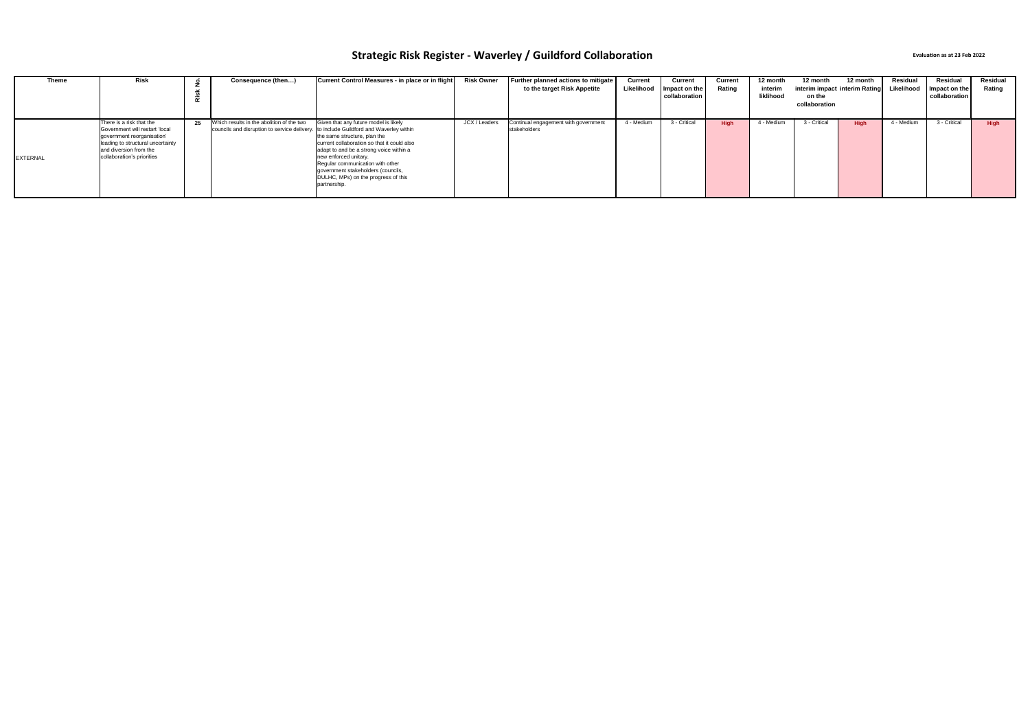| <b>Theme</b>    | Risk                                                                                                                                                                                  |    | Consequence (then)                                                                                                                 | Current Control Measures - in place or in flight                                                                                                                                                                                                                                                                          | <b>Risk Owner</b> | Further planned actions to mitigate<br>to the target Risk Appetite | Current<br>Likelihood | Current<br>Impact on the<br>collaboration | Current<br>Rating | 12 month<br>interim<br>liklihood | 12 month<br>interim impact interim Rating<br>on the<br>collaboration | 12 month    | Residual<br>Likelihood | Residual<br>Impact on the<br>collaboration | Residual<br>Rating |
|-----------------|---------------------------------------------------------------------------------------------------------------------------------------------------------------------------------------|----|------------------------------------------------------------------------------------------------------------------------------------|---------------------------------------------------------------------------------------------------------------------------------------------------------------------------------------------------------------------------------------------------------------------------------------------------------------------------|-------------------|--------------------------------------------------------------------|-----------------------|-------------------------------------------|-------------------|----------------------------------|----------------------------------------------------------------------|-------------|------------------------|--------------------------------------------|--------------------|
| <b>EXTERNAL</b> | There is a risk that the<br>Government will restart 'local<br>government reorganisation'<br>leading to structural uncertainty<br>and diversion from the<br>collaboration's priorities | 25 | Which results in the abolition of the two<br>councils and disruption to service delivery. to include Guildford and Waverley within | Given that any future model is likely<br>the same structure, plan the<br>current collaboration so that it could also<br>adapt to and be a strong voice within a<br>new enforced unitary.<br>Regular communication with other<br>government stakeholders (councils,<br>DULHC, MPs) on the progress of this<br>partnership. | JCX / Leaders     | Continual engagement with government<br>stakeholders               | 4 - Medium            | 3 - Critical                              | <b>Hiah</b>       | 4 - Medium                       | 3 - Critical                                                         | <b>High</b> | l - Medium             | 3 - Critical                               | High               |